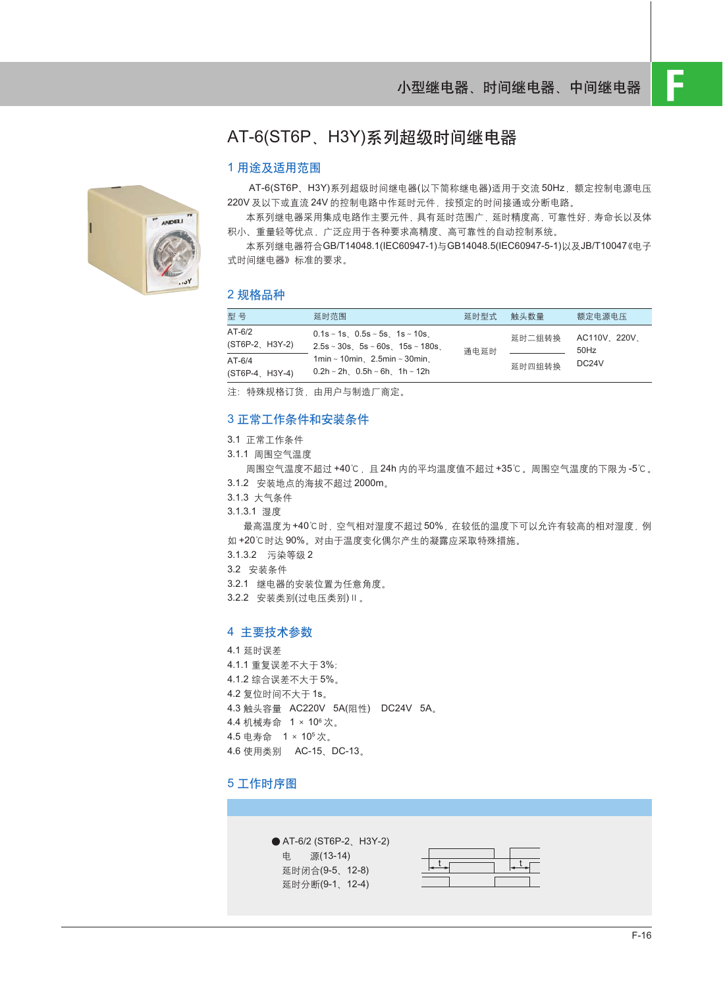# AT-6(ST6P、H3Y)系列超级时间继电器

### 1 用途及适用范围

AT-6(ST6P、H3Y)系列超级时间继电器(以下简称继电器)适用于交流 50Hz,额定控制电源电压 220V 及以下或直流 24V 的控制电路中作延时元件,按预定的时间接通或分断电路。

本系列继电器采用集成电路作主要元件, 具有延时范围广, 延时精度高, 可靠性好, 寿命长以及体 积小、重量轻等优点,广泛应用于各种要求高精度、高可靠性的自动控制系统。

本系列继电器符合GB/T14048.1(IEC60947-1)与GB14048.5(IEC60947-5-1)以及JB/T10047《电子 式时间继电器》标准的要求。

#### 2 规格品种

| 型 묵                         | 延时范围                                                                                                                                                                                   | 延时型式 | 触头数量                                          | 额定电源电压                                       |
|-----------------------------|----------------------------------------------------------------------------------------------------------------------------------------------------------------------------------------|------|-----------------------------------------------|----------------------------------------------|
| $AT-6/2$<br>(ST6P-2, H3Y-2) | $0.1$ s ~ 1s. $0.5$ s ~ 5s. 1s ~ 10s.<br>$2.5s \sim 30s$ $5s \sim 60s$ $15s \sim 180s$<br>$1$ min ~ $10$ min, $2.5$ min ~ $30$ min,<br>$0.2h \sim 2h$ , $0.5h \sim 6h$ , $1h \sim 12h$ | 诵电延时 | 延时二组转换<br>and the contract of the contract of | AC110V 220V<br>$50$ Hz<br>DC <sub>24</sub> V |
| $AT-6/4$<br>(ST6P-4 H3Y-4)  |                                                                                                                                                                                        |      | 延时四组转换                                        |                                              |

注:特殊规格订货,由用户与制造厂商定。

# 3 正常工作条件和安装条件

3.1 正常工作条件

3.1.1 周围空气温度

周围空气温度不超过 +40℃,且 24h 内的平均温度值不超过 +35℃。周围空气温度的下限为 -5℃。

3.1.2 安装地点的海拔不超过 2000m。

- 3.1.3 大气条件
- 3.1.3.1 湿度

最高温度为+40℃时,空气相对湿度不超过50%,在较低的温度下可以允许有较高的相对湿度,例 如 +20℃时达 90%。对由于温度变化偶尔产生的凝露应采取特殊措施。

- 3.1.3.2 污染等级 2
- 3.2 安装条件
- 3.2.1 继电器的安装位置为任意角度。
- 3.2.2 安装类别(过电压类别)Ⅱ。

#### 4 主要技术参数

4.1 延时误差 4.1.1 重复误差不大于 3%; 4.1.2 综合误差不大于 5%。 4.2 复位时间不大于 1s。 4.3 触头容量 AC220V 5A(阻性) DC24V 5A。 4.4 机械寿命 1×10°次。 4.5 电寿命 1 × 10<sup>5</sup> 次。 4.6 使用类别 AC-15、DC-13。

# 5 工作时序图

● AT-6/2 (ST6P-2、H3Y-2) 电 源(13-14) 延时闭合(9-5、12-8) 延时分断(9-1、12-4)